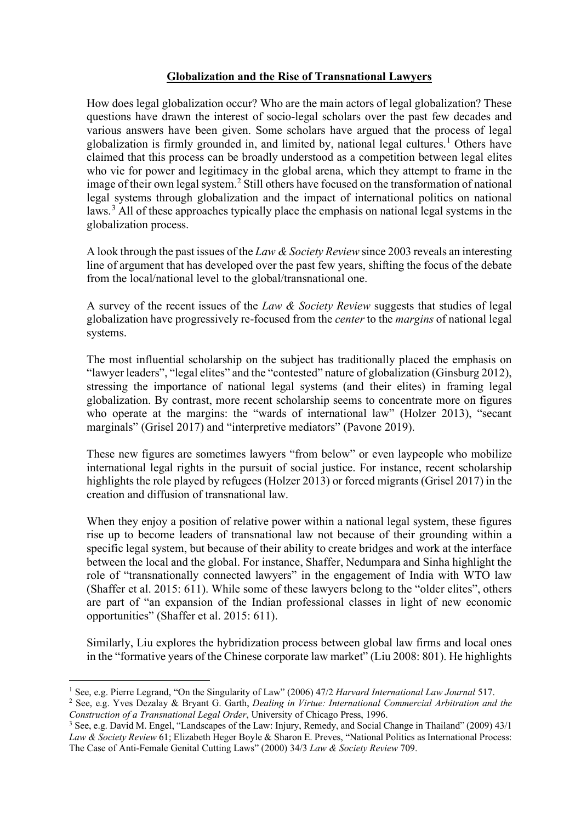## **Globalization and the Rise of Transnational Lawyers**

How does legal globalization occur? Who are the main actors of legal globalization? These questions have drawn the interest of socio-legal scholars over the past few decades and various answers have been given. Some scholars have argued that the process of legal globalization is firmly grounded in, and limited by, national legal cultures.<sup>[1](#page-0-0)</sup> Others have claimed that this process can be broadly understood as a competition between legal elites who vie for power and legitimacy in the global arena, which they attempt to frame in the image of their own legal system.[2](#page-0-1) Still others have focused on the transformation of national legal systems through globalization and the impact of international politics on national laws.[3](#page-0-2) All of these approaches typically place the emphasis on national legal systems in the globalization process.

A look through the past issues of the *Law & Society Review* since 2003 reveals an interesting line of argument that has developed over the past few years, shifting the focus of the debate from the local/national level to the global/transnational one.

A survey of the recent issues of the *Law & Society Review* suggests that studies of legal globalization have progressively re-focused from the *center* to the *margins* of national legal systems.

The most influential scholarship on the subject has traditionally placed the emphasis on "lawyer leaders", "legal elites" and the "contested" nature of globalization (Ginsburg 2012), stressing the importance of national legal systems (and their elites) in framing legal globalization. By contrast, more recent scholarship seems to concentrate more on figures who operate at the margins: the "wards of international law" (Holzer 2013), "secant marginals" (Grisel 2017) and "interpretive mediators" (Pavone 2019).

These new figures are sometimes lawyers "from below" or even laypeople who mobilize international legal rights in the pursuit of social justice. For instance, recent scholarship highlights the role played by refugees (Holzer 2013) or forced migrants (Grisel 2017) in the creation and diffusion of transnational law.

When they enjoy a position of relative power within a national legal system, these figures rise up to become leaders of transnational law not because of their grounding within a specific legal system, but because of their ability to create bridges and work at the interface between the local and the global. For instance, Shaffer, Nedumpara and Sinha highlight the role of "transnationally connected lawyers" in the engagement of India with WTO law (Shaffer et al. 2015: 611). While some of these lawyers belong to the "older elites", others are part of "an expansion of the Indian professional classes in light of new economic opportunities" (Shaffer et al. 2015: 611).

Similarly, Liu explores the hybridization process between global law firms and local ones in the "formative years of the Chinese corporate law market" (Liu 2008: 801). He highlights

<span id="page-0-0"></span><sup>1</sup> See, e.g. Pierre Legrand, "On the Singularity of Law" (2006) 47/2 *Harvard International Law Journal* 517.

<span id="page-0-1"></span><sup>2</sup> See, e.g. Yves Dezalay & Bryant G. Garth, *Dealing in Virtue: International Commercial Arbitration and the Construction of a Transnational Legal Order*, University of Chicago Press, 1996.

<span id="page-0-2"></span><sup>3</sup> See, e.g. David M. Engel, "Landscapes of the Law: Injury, Remedy, and Social Change in Thailand" (2009) 43/1 *Law & Society Review* 61; Elizabeth Heger Boyle & Sharon E. Preves, "National Politics as International Process: The Case of Anti-Female Genital Cutting Laws" (2000) 34/3 *Law & Society Review* 709.